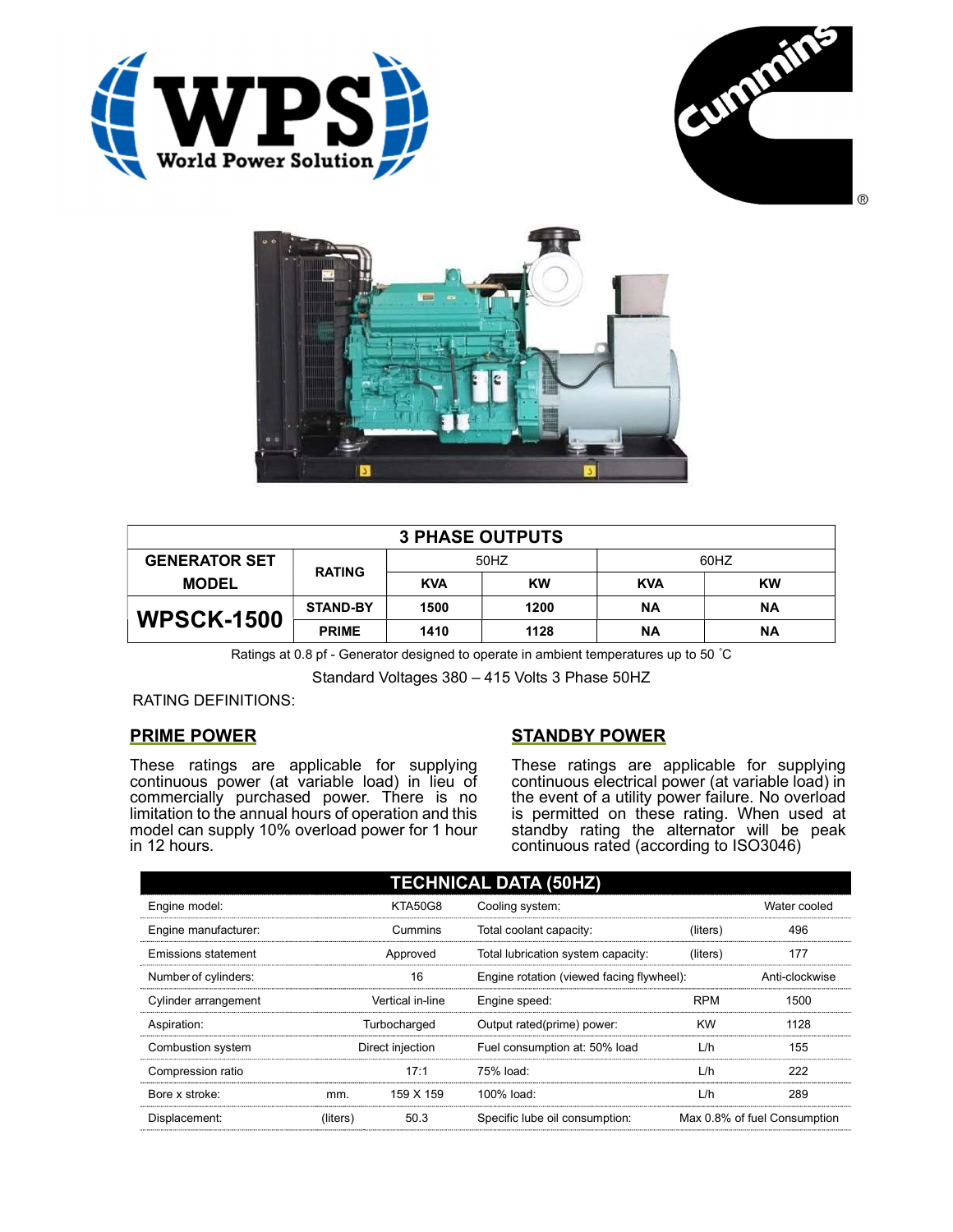





| <b>3 PHASE OUTPUTS</b> |                 |            |           |            |           |
|------------------------|-----------------|------------|-----------|------------|-----------|
| <b>GENERATOR SET</b>   | <b>RATING</b>   | 50HZ       |           | 60HZ       |           |
| <b>MODEL</b>           |                 | <b>KVA</b> | <b>KW</b> | <b>KVA</b> | <b>KW</b> |
| <b>WPSCK-1500</b>      | <b>STAND-BY</b> | 1500       | 1200      | ΝA         | <b>NA</b> |
|                        | <b>PRIME</b>    | 1410       | 1128      | ΝA         | <b>NA</b> |

Ratings at 0.8 pf - Generator designed to operate in ambient temperatures up to 50 °C

Standard Voltages 380 – 415 Volts 3 Phase 50HZ

RATING DEFINITIONS:

## PRIME POWER

These ratings are applicable for supplying continuous power (at variable load) in lieu of commercially purchased power. There is no limitation to the annual hours of operation and this model can supply 10% overload power for 1 hour in 12 hours.

## STANDBY POWER

These ratings are applicable for supplying continuous electrical power (at variable load) in the event of a utility power failure. No overload is permitted on these rating. When used at standby rating the alternator will be peak continuous rated (according to ISO3046)

| <b>TECHNICAL DATA (50HZ)</b> |                  |           |                                           |            |                              |
|------------------------------|------------------|-----------|-------------------------------------------|------------|------------------------------|
| Engine model:                | <b>KTA50G8</b>   |           | Cooling system:                           |            | Water cooled                 |
| Engine manufacturer:         |                  | Cummins   | Total coolant capacity:                   | (liters)   | 496                          |
| Emissions statement          | Approved         |           | Total lubrication system capacity:        | (liters)   | 177                          |
| Number of cylinders:         | 16               |           | Engine rotation (viewed facing flywheel): |            | Anti-clockwise               |
| Cylinder arrangement         | Vertical in-line |           | Engine speed:                             | <b>RPM</b> | 1500                         |
| Aspiration:                  | Turbocharged     |           | Output rated(prime) power:                | <b>KW</b>  | 1128                         |
| Combustion system            | Direct injection |           | Fuel consumption at: 50% load             | L/h        | 155                          |
| Compression ratio            |                  | 17:1      | 75% load:                                 | L/h        | 222                          |
| Bore x stroke:               | mm.              | 159 X 159 | 100% load:                                | L/h        | 289                          |
| Displacement:                | (liters)         | 50.3      | Specific lube oil consumption:            |            | Max 0.8% of fuel Consumption |